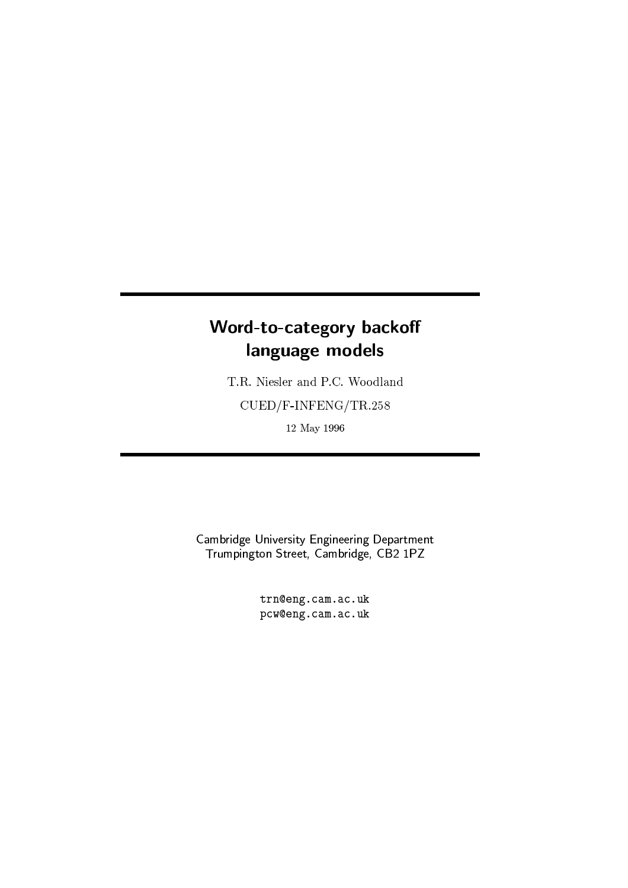# -  -  !"#%\$

T.R. Niesler and P.C. Woodland  $\text{CUED/F-INFENG}/\text{TR}.258$  $12$  May $1996$ 

en for the figure of two Elta and two Elta and two Elta and two Elta and two Elta and two Elta and two Elta and two eur dia fara fan dia fan dia fan dia fan dia fara fan dia fara fan dia fara fan dia fara fan dia fara fan dia

> trn@eng.cam.ac.uk w EE9D3hbDT%h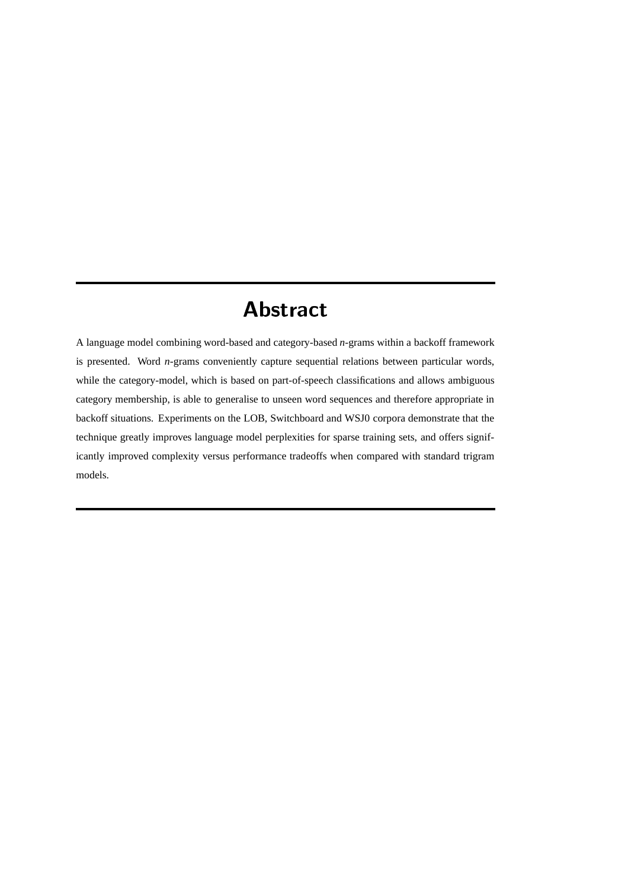# -

A language model combining word-based and category-based *n*-grams within a backoff framework is presented. Word *n*-grams conveniently capture sequential relations between particular words, while the category-model, which is based on part-of-speech classifications and allows ambiguous category membership, is able to generalise to unseen word sequences and therefore appropriate in backoff situations. Experiments on the LOB, Switchboard and WSJ0 corpora demonstrate that the technique greatly improves language model perplexities for sparse training sets, and offers significantly improved complexity versus performance tradeoffs when compared with standard trigram models.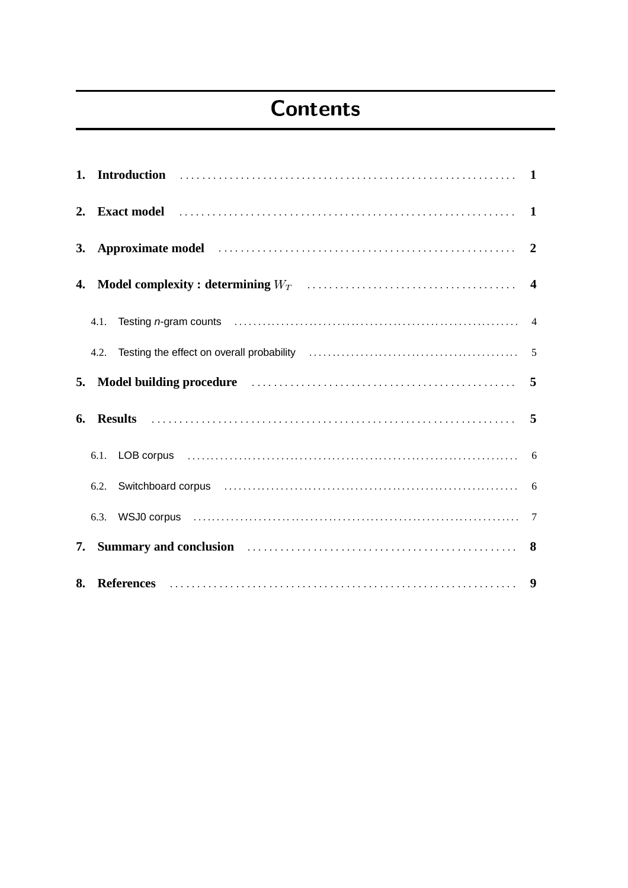# $-$  -box  $-$  -box  $-$  -box  $-$  -box  $-$  -box  $-$  -box  $-$  -box  $-$  -box  $-$  -box  $-$  -box  $-$

|    | 3. Approximate model 200 minimum contractor contractor contractor contractor contractor contractor contractor contractor contractor contractor contractor contractor contractor contractor contractor contractor contractor co      |  |
|----|-------------------------------------------------------------------------------------------------------------------------------------------------------------------------------------------------------------------------------------|--|
|    |                                                                                                                                                                                                                                     |  |
|    |                                                                                                                                                                                                                                     |  |
|    |                                                                                                                                                                                                                                     |  |
|    | 5. Model building procedure <i>manufacture contained to model</i> building procedure                                                                                                                                                |  |
|    |                                                                                                                                                                                                                                     |  |
|    | 6.1. LOB corpus (a) and the contract of the contract of the contract of the contract of the contract of the contract of the contract of the contract of the contract of the contract of the contract of the contract of the co      |  |
|    |                                                                                                                                                                                                                                     |  |
|    |                                                                                                                                                                                                                                     |  |
| 7. | Summary and conclusion <i>matures in the contract of series</i> and conclusion of series and series of series of series of series of series of series of series of series of series of series of series of series of series of seri |  |
|    |                                                                                                                                                                                                                                     |  |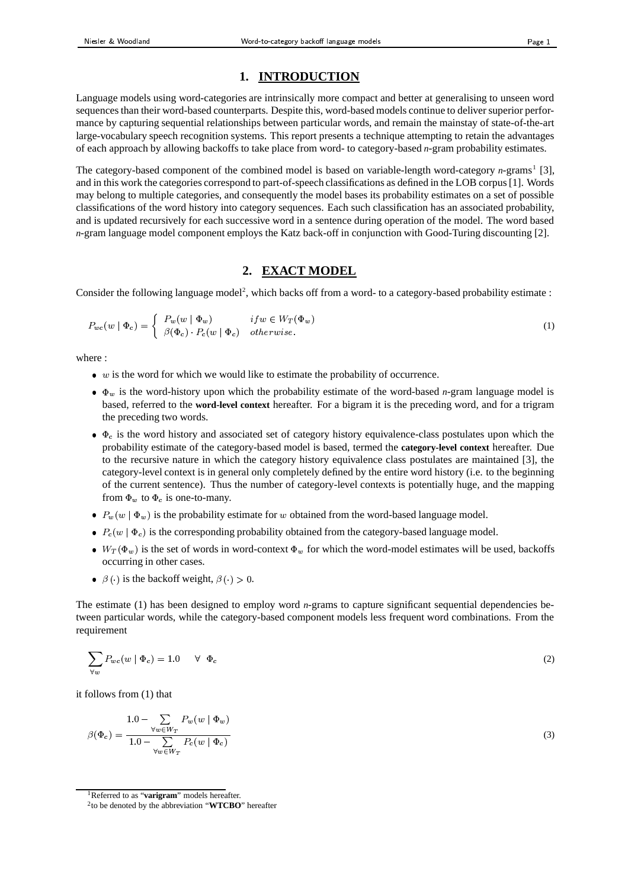# **1. INTRODUCTION**

Language models using word-categories are intrinsically more compact and better at generalising to unseen word sequences than their word-based counterparts. Despite this, word-based models continue to deliver superior performance by capturing sequential relationships between particular words, and remain the mainstay of state-of-the-art large-vocabulary speech recognition systems. This report presents a technique attempting to retain the advantages of each approach by allowing backoffs to take place from word- to category-based *n*-gram probability estimates.

The category-based component of the combined model is based on variable-length word-category *n*-grams<sup>1</sup> [3], and in this work the categories correspond to part-of-speech classifications as defined in the LOB corpus[1]. Words may belong to multiple categories, and consequently the model bases its probability estimates on a set of possible classifications of the word history into category sequences. Each such classification has an associated probability, and is updated recursively for each successive word in a sentence during operation of the model. The word based *n*-gram language model component employs the Katz back-off in conjunction with Good-Turing discounting [2].

# **2. EXACT MODEL**

Consider the following language model<sup>2</sup>, which backs off from a word- to a category-based probability estimate :

$$
P_{wc}(w \mid \Phi_c) = \begin{cases} P_w(w \mid \Phi_w) & if w \in W_T(\Phi_w) \\ \beta(\Phi_c) \cdot P_c(w \mid \Phi_c) & otherwise. \end{cases}
$$
 (1)

where :

- $\bullet$  w is the word for which we would like to estimate the probability of occurrence.
- $\bullet$   $\Phi_w$  is the word-history upon which the probability estimate of the word-based *n*-gram language model is based, referred to the **word-level context** hereafter. For a bigram it is the preceding word, and for a trigram the preceding two words.
- $\bullet$   $\Phi_c$  is the word history and associated set of category history equivalence-class postulates upon which the probability estimate of the category-based model is based, termed the **category-level context** hereafter. Due to the recursive nature in which the category history equivalence class postulates are maintained [3], the category-level context is in general only completely defined by the entire word history (i.e. to the beginning of the current sentence). Thus the number of category-level contexts is potentially huge, and the mapping from  $\Phi_w$  to  $\Phi_c$  is one-to-many.
- $P_w(w | \Phi_w)$  is the probability estimate for w obtained from the word-based language model.
- $P_c(w | \Phi_c)$  is the corresponding probability obtained from the category-based language model.
- $\bullet$   $W_T(\Phi_w)$  is the set of words in word-context  $\Phi_w$  for which the word-model estimates will be used, backoffs occurring in other cases.
- $\bullet$   $\beta$  ( ) is the backoff weight,  $\beta$  ( ) > 0.

The estimate (1) has been designed to employ word *n*-grams to capture significant sequential dependencies between particular words, while the category-based component models less frequent word combinations. From the requirement `

$$
\sum_{\forall w} P_{wc}(w \mid \Phi_c) = 1.0 \quad \forall \Phi_c \tag{2}
$$

it follows from (1) that

$$
\beta(\Phi_c) = \frac{1.0 - \sum_{\forall w \in W_T} P_w(w \mid \Phi_w)}{1.0 - \sum_{\forall w \in W_T} P_c(w \mid \Phi_c)}
$$
\n(3)

<sup>1</sup>Referred to as "**varigram**" models hereafter.

<sup>2</sup> to be denoted by the abbreviation "**WTCBO**" hereafter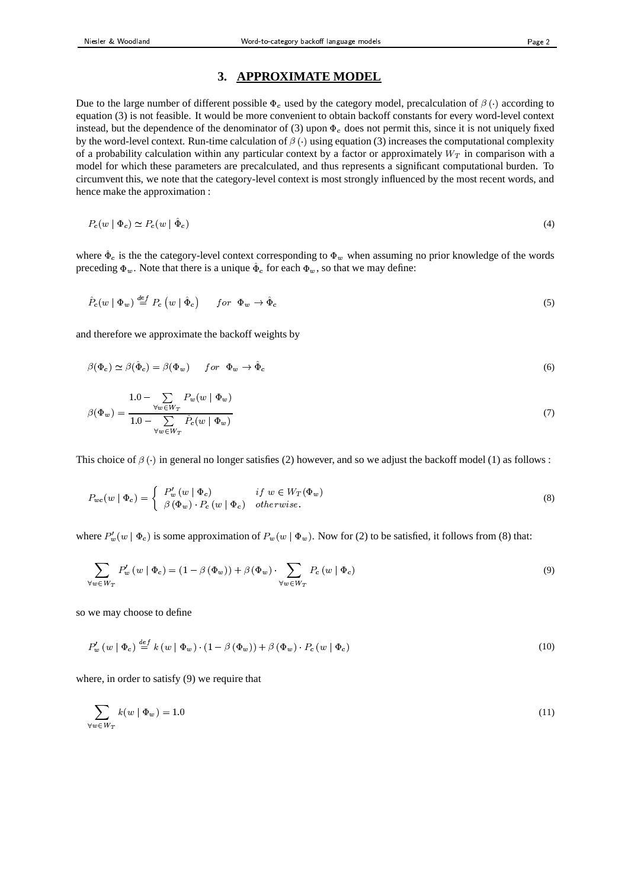### **3. APPROXIMATE MODEL**

Due to the large number of different possible  $\Phi_c$  used by the category model, precalculation of  $\beta(\cdot)$  according to equation (3) is not feasible. It would be more convenient to obtain backoff constants for every word-level context instead, but the dependence of the denominator of (3) upon  $\Phi_c$  does not permit this, since it is not uniquely fixed by the word-level context. Run-time calculation of  $\beta(\cdot)$  using equation (3) increases the computational complexity of a probability calculation within any particular context by a factor or approximately  $W_T$  in comparison with a model for which these parameters are precalculated, and thus represents a significant computational burden. To circumvent this, we note that the category-level context is most strongly influenced by the most recent words, and hence make the approximation :

$$
P_c(w \mid \Phi_c) \simeq P_c(w \mid \hat{\Phi}_c) \tag{4}
$$

where  $\hat{\Phi}_c$  is the the category-level context corresponding to  $\Phi_w$  when assuming no prior knowledge of the words preceding  $\Phi_w$ . Note that there is a unique  $\hat{\Phi}_c$  for each  $\Phi_w$ , so that we may define:

$$
\hat{P}_c(w \mid \Phi_w) \stackrel{def}{=} P_c(w \mid \hat{\Phi}_c) \qquad \text{for } \Phi_w \to \hat{\Phi}_c \tag{5}
$$

and therefore we approximate the backoff weights by

$$
\beta(\Phi_c) \simeq \beta(\hat{\Phi}_c) = \beta(\Phi_w) \qquad \text{for} \ \ \Phi_w \to \hat{\Phi}_c \tag{6}
$$

$$
\beta(\Phi_w) = \frac{1.0 - \sum_{\forall w \in W_T} P_w(w \mid \Phi_w)}{1.0 - \sum_{\forall w \in W_T} \hat{P}_c(w \mid \Phi_w)}
$$
\n(7)

This choice of  $\beta(\cdot)$  in general no longer satisfies (2) however, and so we adjust the backoff model (1) as follows :

$$
P_{wc}(w \mid \Phi_c) = \begin{cases} P_w'(w \mid \Phi_c) & \text{if } w \in W_T(\Phi_w) \\ \beta \left( \Phi_w \right) \cdot P_c(w \mid \Phi_c) & \text{otherwise.} \end{cases} \tag{8}
$$

where  $P'_w(w | \Phi_c)$  is some approximation of  $P_w(w | \Phi_w)$ . Now for (2) to be satisfied, it follows from (8) that:

$$
\sum_{\forall w \in W_T} P'_w(w | \Phi_c) = (1 - \beta(\Phi_w)) + \beta(\Phi_w) \cdot \sum_{\forall w \in W_T} P_c(w | \Phi_c)
$$
\n(9)

so we may choose to define

$$
P'_{w}(w \mid \Phi_{c}) \stackrel{def}{=} k(w \mid \Phi_{w}) \cdot (1 - \beta(\Phi_{w})) + \beta(\Phi_{w}) \cdot P_{c}(w \mid \Phi_{c}) \tag{10}
$$

where, in order to satisfy (9) we require that

$$
\sum_{\forall w \in W_T} k(w \mid \Phi_w) = 1.0 \tag{11}
$$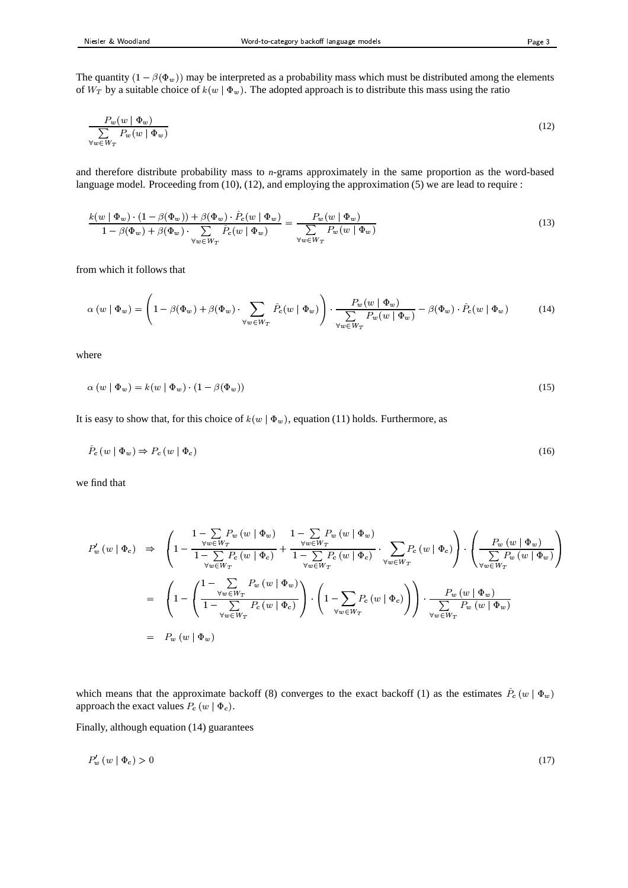The quantity  $(1 - \beta(\Phi_w))$  may be interpreted as a probability mass which must be distributed among the elements of  $W_T$  by a suitable choice of  $k(w | \Phi_w)$ . The adopted approach is to distribute this mass using the ratio

$$
\frac{P_w(w | \Phi_w)}{\sum_{\forall w \in W_T} P_w(w | \Phi_w)}
$$
\n(12)

and therefore distribute probability mass to *n*-grams approximately in the same proportion as the word-based language model. Proceeding from (10), (12), and employing the approximation (5) we are lead to require :

$$
\frac{k(w \mid \Phi_w) \cdot (1 - \beta(\Phi_w)) + \beta(\Phi_w) \cdot \hat{P}_c(w \mid \Phi_w)}{1 - \beta(\Phi_w) + \beta(\Phi_w) \cdot \sum_{\forall w \in W_T} \hat{P}_c(w \mid \Phi_w)} = \frac{P_w(w \mid \Phi_w)}{\sum_{\forall w \in W_T} P_w(w \mid \Phi_w)}\tag{13}
$$

from which it follows that

$$
\alpha(w \mid \Phi_w) = \left(1 - \beta(\Phi_w) + \beta(\Phi_w) \cdot \sum_{\forall w \in W_T} \hat{P}_c(w \mid \Phi_w)\right) \cdot \frac{P_w(w \mid \Phi_w)}{\sum_{\forall w \in W_T} P_w(w \mid \Phi_w)} - \beta(\Phi_w) \cdot \hat{P}_c(w \mid \Phi_w)
$$
(14)

where

$$
\alpha \left( w \mid \Phi_w \right) = k(w \mid \Phi_w) \cdot \left( 1 - \beta(\Phi_w) \right) \tag{15}
$$

It is easy to show that, for this choice of  $k(w | \Phi_w)$ , equation (11) holds. Furthermore, as

$$
\hat{P}_c(w \mid \Phi_w) \Rightarrow P_c(w \mid \Phi_c) \tag{16}
$$

we find that

$$
P'_{w}(w | \Phi_{c}) \Rightarrow \left(1 - \frac{\frac{1}{\forall w \in W_{T}} P_{w}(w | \Phi_{w})}{1 - \sum_{\forall w \in W_{T}} P_{c}(w | \Phi_{c})} + \frac{\frac{1}{\forall w \in W_{T}} P_{w}(w | \Phi_{w})}{1 - \sum_{\forall w \in W_{T}} P_{c}(w | \Phi_{c})} \cdot \sum_{\forall w \in W_{T}} P_{c}(w | \Phi_{c})\right) \cdot \left(\frac{P_{w}(w | \Phi_{w})}{\sum_{\forall w \in W_{T}} P_{w}(w | \Phi_{w})}\right)
$$
  
= 
$$
\left(1 - \left(\frac{1 - \sum_{\forall w \in W_{T}} P_{w}(w | \Phi_{w})}{1 - \sum_{\forall w \in W_{T}} P_{c}(w | \Phi_{c})}\right) \cdot \left(1 - \sum_{\forall w \in W_{T}} P_{c}(w | \Phi_{c})\right)\right) \cdot \frac{P_{w}(w | \Phi_{w})}{\sum_{\forall w \in W_{T}} P_{w}(w | \Phi_{w})}
$$
  
= 
$$
P_{w}(w | \Phi_{w})
$$

which means that the approximate backoff (8) converges to the exact backoff (1) as the estimates  $\hat{P}_c(w | \Phi_w)$ approach the exact values  $P_c(w | \Phi_c)$ .

Finally, although equation (14) guarantees

$$
P_w'(w \mid \Phi_c) > 0 \tag{17}
$$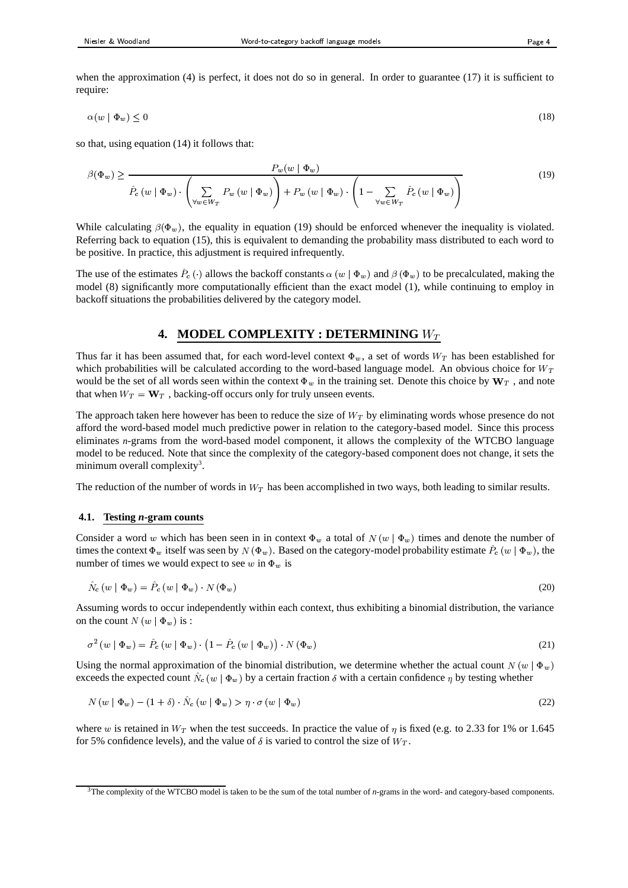when the approximation (4) is perfect, it does not do so in general. In order to guarantee (17) it is sufficient to require:

$$
\alpha(w \mid \Phi_w) \le 0 \tag{18}
$$

so that, using equation (14) it follows that:

$$
\beta(\Phi_w) \ge \frac{P_w(w \mid \Phi_w)}{\hat{P}_c(w \mid \Phi_w) \cdot \left(\sum_{\forall w \in W_T} P_w(w \mid \Phi_w)\right) + P_w(w \mid \Phi_w) \cdot \left(1 - \sum_{\forall w \in W_T} \hat{P}_c(w \mid \Phi_w)\right)}
$$
(19)

While calculating  $\beta(\Phi_w)$ , the equality in equation (19) should be enforced whenever the inequality is violated. Referring back to equation (15), this is equivalent to demanding the probability mass distributed to each word to be positive. In practice, this adjustment is required infrequently.

The use of the estimates  $\hat{P}_c(\cdot)$  allows the backoff constants  $\alpha(w | \Phi_w)$  and  $\beta(\Phi_w)$  to be precalculated, making the model (8) significantly more computationally efficient than the exact model (1), while continuing to employ in backoff situations the probabilities delivered by the category model.

## **4. MODEL COMPLEXITY : DETERMINING**

Thus far it has been assumed that, for each word-level context  $\Phi_w$ , a set of words  $W_T$  has been established for which probabilities will be calculated according to the word-based language model. An obvious choice for  $W_T$ would be the set of all words seen within the context  $\Phi_w$  in the training set. Denote this choice by  $W_T$ , and note that when  $W_T = \mathbf{W}_T$ , backing-off occurs only for truly unseen events.

The approach taken here however has been to reduce the size of  $W_T$  by eliminating words whose presence do not afford the word-based model much predictive power in relation to the category-based model. Since this process eliminates *n*-grams from the word-based model component, it allows the complexity of the WTCBO language model to be reduced. Note that since the complexity of the category-based component does not change, it sets the minimum overall complexity<sup>3</sup>.

The reduction of the number of words in  $W_T$  has been accomplished in two ways, both leading to similar results.

#### **4.1. Testing** *n***-gram counts**

Consider a word w which has been seen in in context  $\Phi_w$  a total of  $N(w | \Phi_w)$  times and denote the number of times the context  $\Phi_w$  itself was seen by  $N(\Phi_w)$ . Based on the category-model probability estimate  $\hat{P}_c(w | \Phi_w)$ , the number of times we would expect to see  $w$  in  $\Phi_w$  is

$$
\hat{N}_c(w \mid \Phi_w) = \hat{P}_c(w \mid \Phi_w) \cdot N(\Phi_w) \tag{20}
$$

Assuming words to occur independently within each context, thus exhibiting a binomial distribution, the variance on the count  $N(w | \Phi_w)$  is :

$$
\sigma^{2}(w \mid \Phi_{w}) = \hat{P}_{c}(w \mid \Phi_{w}) \cdot (1 - \hat{P}_{c}(w \mid \Phi_{w})) \cdot N(\Phi_{w}) \tag{21}
$$

Using the normal approximation of the binomial distribution, we determine whether the actual count  $N(w | \Phi_w)$ exceeds the expected count  $\hat{N}_c(w | \Phi_w)$  by a certain fraction  $\delta$  with a certain confidence  $\eta$  by testing whether

$$
N(w | \Phi_w) - (1 + \delta) \cdot \tilde{N}_c(w | \Phi_w) > \eta \cdot \sigma(w | \Phi_w)
$$
\n
$$
(22)
$$

where w is retained in  $W_T$  when the test succeeds. In practice the value of  $\eta$  is fixed (e.g. to 2.33 for 1% or 1.645 for 5% confidence levels), and the value of  $\delta$  is varied to control the size of  $W_T$ .

<sup>3</sup>The complexity of the WTCBO model is taken to be the sum of the total number of *n*-grams in the word- and category-based components.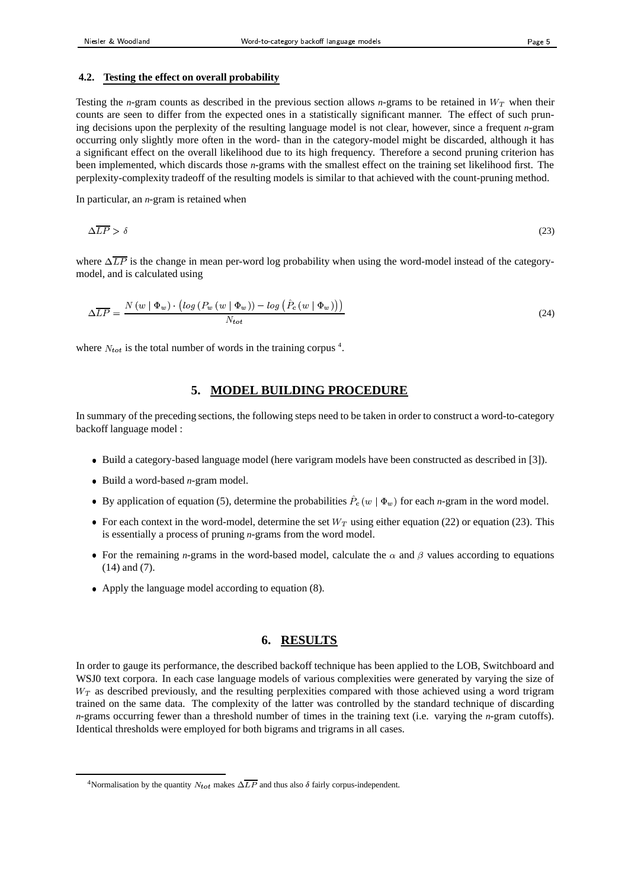#### **4.2. Testing the effect on overall probability**

Testing the *n*-gram counts as described in the previous section allows *n*-grams to be retained in  $W_T$  when their counts are seen to differ from the expected ones in a statistically significant manner. The effect of such pruning decisions upon the perplexity of the resulting language model is not clear, however, since a frequent *n*-gram occurring only slightly more often in the word- than in the category-model might be discarded, although it has a significant effect on the overall likelihood due to its high frequency. Therefore a second pruning criterion has been implemented, which discards those *n*-grams with the smallest effect on the training set likelihood first. The perplexity-complexity tradeoff of the resulting models is similar to that achieved with the count-pruning method.

In particular, an *n*-gram is retained when

$$
\Delta \overline{LP} > \delta \tag{23}
$$

where  $\Delta \overline{LP}$  is the change in mean per-word log probability when using the word-model instead of the categorymodel, and is calculated using

$$
\Delta \overline{LP} = \frac{N \left( w \mid \Phi_w \right) \cdot \left( \log \left( P_w \left( w \mid \Phi_w \right) \right) - \log \left( \hat{P}_c \left( w \mid \Phi_w \right) \right) \right)}{N_{tot}} \tag{24}
$$

where  $N_{tot}$  is the total number of words in the training corpus<sup>4</sup>.

# **5. MODEL BUILDING PROCEDURE**

In summary of the preceding sections, the following steps need to be taken in order to construct a word-to-category backoff language model :

- Build a category-based language model (here varigram models have been constructed as described in [3]).
- Build a word-based *n*-gram model.
- By application of equation (5), determine the probabilities  $\hat{P}_c(w | \Phi_w)$  for each *n*-gram in the word model.
- For each context in the word-model, determine the set  $W_T$  using either equation (22) or equation (23). This is essentially a process of pruning *n*-grams from the word model.
- For the remaining *n*-grams in the word-based model, calculate the  $\alpha$  and  $\beta$  values according to equations (14) and (7).
- Apply the language model according to equation (8).

# **6. RESULTS**

In order to gauge its performance, the described backoff technique has been applied to the LOB, Switchboard and WSJ0 text corpora. In each case language models of various complexities were generated by varying the size of  $W_T$  as described previously, and the resulting perplexities compared with those achieved using a word trigram trained on the same data. The complexity of the latter was controlled by the standard technique of discarding *n*-grams occurring fewer than a threshold number of times in the training text (i.e. varying the *n*-gram cutoffs). Identical thresholds were employed for both bigrams and trigrams in all cases.

<sup>&</sup>lt;sup>4</sup>Normalisation by the quantity  $N_{tot}$  makes  $\Delta \overline{LP}$  and thus also  $\delta$  fairly corpus-independent.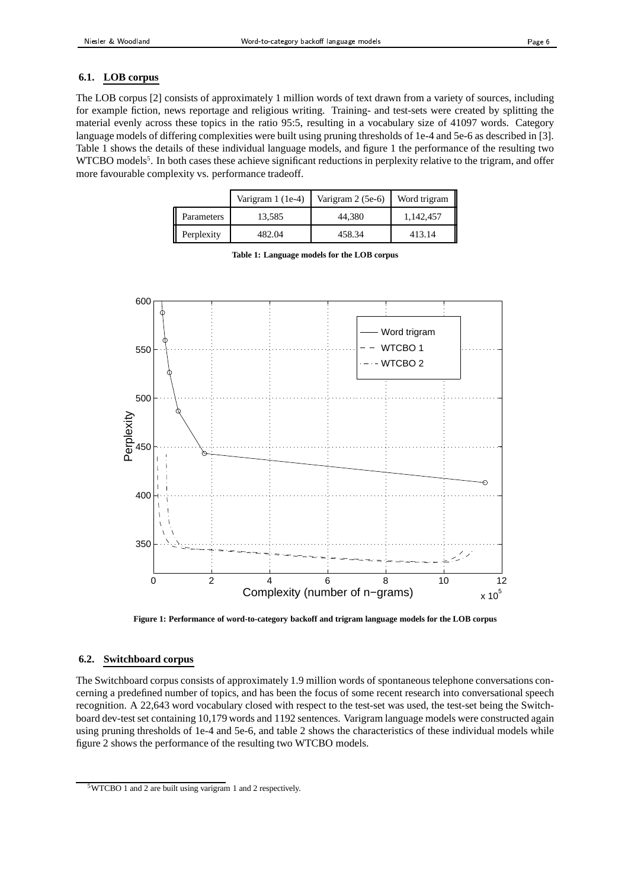### **6.1. LOB corpus**

The LOB corpus [2] consists of approximately 1 million words of text drawn from a variety of sources, including for example fiction, news reportage and religious writing. Training- and test-sets were created by splitting the material evenly across these topics in the ratio 95:5, resulting in a vocabulary size of 41097 words. Category language models of differing complexities were built using pruning thresholds of 1e-4 and 5e-6 as described in [3]. Table 1 shows the details of these individual language models, and figure 1 the performance of the resulting two WTCBO models<sup>5</sup>. In both cases these achieve significant reductions in perplexity relative to the trigram, and offer more favourable complexity vs. performance tradeoff.

|            | Varigram 1 (1e-4) | Varigram 2 (5e-6) | Word trigram |
|------------|-------------------|-------------------|--------------|
| Parameters | 13.585            | 44.380            | 1,142,457    |
| Perplexity | 482.04            | 458.34            | 413.14       |

|                   | 600<br>550 |                |                                          | Word trigram<br>WTCBO <sub>1</sub> |     |                |
|-------------------|------------|----------------|------------------------------------------|------------------------------------|-----|----------------|
|                   | 500        |                |                                          | WTCBO <sub>2</sub>                 |     |                |
| Perplexity<br>450 |            |                |                                          |                                    |     |                |
|                   |            |                |                                          |                                    |     | €              |
|                   | 400        |                |                                          |                                    |     |                |
|                   | 350        |                |                                          |                                    | L 2 |                |
|                   | 0          | $\overline{c}$ | 6<br>4<br>Complexity (number of n-grams) | 8                                  | 10  | 12<br>$x 10^5$ |

**Table 1: Language models for the LOB corpus**

**Figure 1: Performance of word-to-category backoff and trigram language models for the LOB corpus**

#### **6.2. Switchboard corpus**

The Switchboard corpus consists of approximately 1.9 million words of spontaneous telephone conversations concerning a predefined number of topics, and has been the focus of some recent research into conversational speech recognition. A 22,643 word vocabulary closed with respect to the test-set was used, the test-set being the Switchboard dev-test set containing 10,179 words and 1192 sentences. Varigram language models were constructed again using pruning thresholds of 1e-4 and 5e-6, and table 2 shows the characteristics of these individual models while figure 2 shows the performance of the resulting two WTCBO models.

<sup>5</sup>WTCBO 1 and 2 are built using varigram 1 and 2 respectively.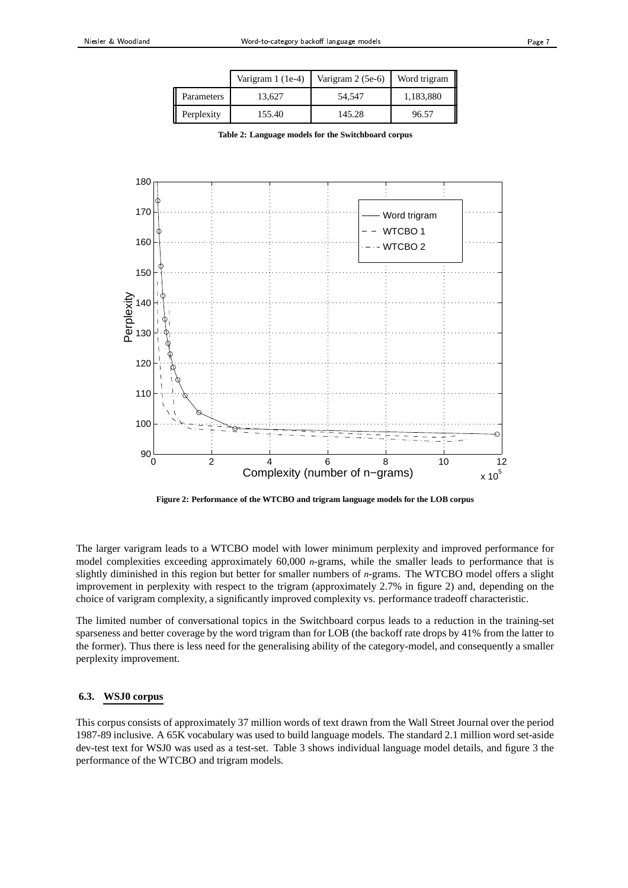|            | Varigram 1 (1e-4) | Varigram 2 (5e-6) | Word trigram |
|------------|-------------------|-------------------|--------------|
| Parameters | 13.627            | 54,547            | 1,183,880    |
| Perplexity | 155.40            | 145.28            | 96.57        |

|  |  |  |  |  |  |  |  | Table 2: Language models for the Switchboard corpus |  |
|--|--|--|--|--|--|--|--|-----------------------------------------------------|--|
|--|--|--|--|--|--|--|--|-----------------------------------------------------|--|



**Figure 2: Performance of the WTCBO and trigram language models for the LOB corpus**

The larger varigram leads to a WTCBO model with lower minimum perplexity and improved performance for model complexities exceeding approximately 60,000 *n*-grams, while the smaller leads to performance that is slightly diminished in this region but better for smaller numbers of *n*-grams. The WTCBO model offers a slight improvement in perplexity with respect to the trigram (approximately 2.7% in figure 2) and, depending on the choice of varigram complexity, a significantly improved complexity vs. performance tradeoff characteristic.

The limited number of conversational topics in the Switchboard corpus leads to a reduction in the training-set sparseness and better coverage by the word trigram than for LOB (the backoff rate drops by 41% from the latter to the former). Thus there is less need for the generalising ability of the category-model, and consequently a smaller perplexity improvement.

#### **6.3. WSJ0 corpus**

This corpus consists of approximately 37 million words of text drawn from the Wall Street Journal over the period 1987-89 inclusive. A 65K vocabulary was used to build language models. The standard 2.1 million word set-aside dev-test text for WSJ0 was used as a test-set. Table 3 shows individual language model details, and figure 3 the performance of the WTCBO and trigram models.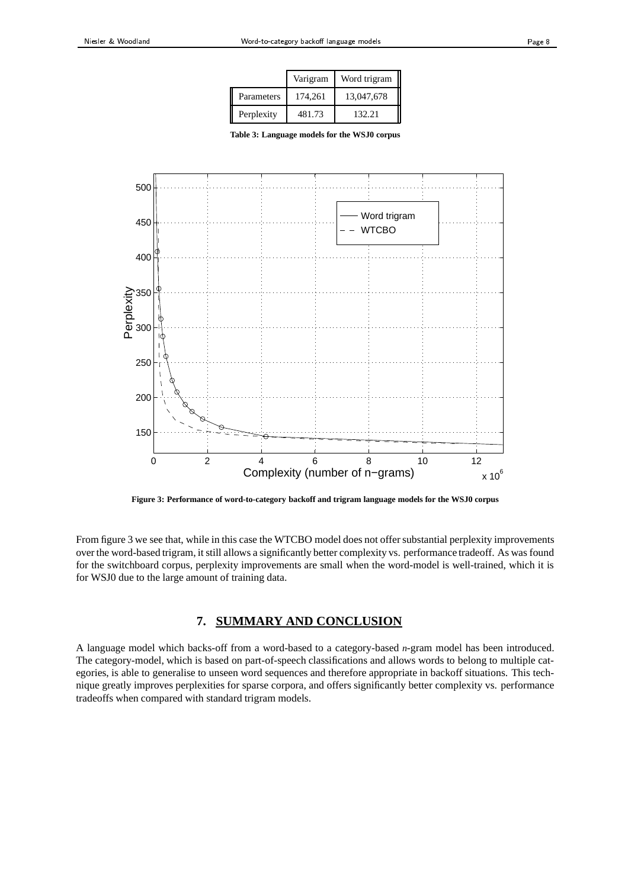|            | Varigram | Word trigram |
|------------|----------|--------------|
| Parameters | 174,261  | 13,047,678   |
| Perplexity | 481.73   | 132.21       |

**Table 3: Language models for the WSJ0 corpus**



**Figure 3: Performance of word-to-category backoff and trigram language models for the WSJ0 corpus**

From figure 3 we see that, while in this case the WTCBO model does not offer substantial perplexity improvements over the word-based trigram, it still allows a significantly better complexity vs. performance tradeoff. As was found for the switchboard corpus, perplexity improvements are small when the word-model is well-trained, which it is for WSJ0 due to the large amount of training data.

# **7. SUMMARY AND CONCLUSION**

A language model which backs-off from a word-based to a category-based *n*-gram model has been introduced. The category-model, which is based on part-of-speech classifications and allows words to belong to multiple categories, is able to generalise to unseen word sequences and therefore appropriate in backoff situations. This technique greatly improves perplexities for sparse corpora, and offers significantly better complexity vs. performance tradeoffs when compared with standard trigram models.